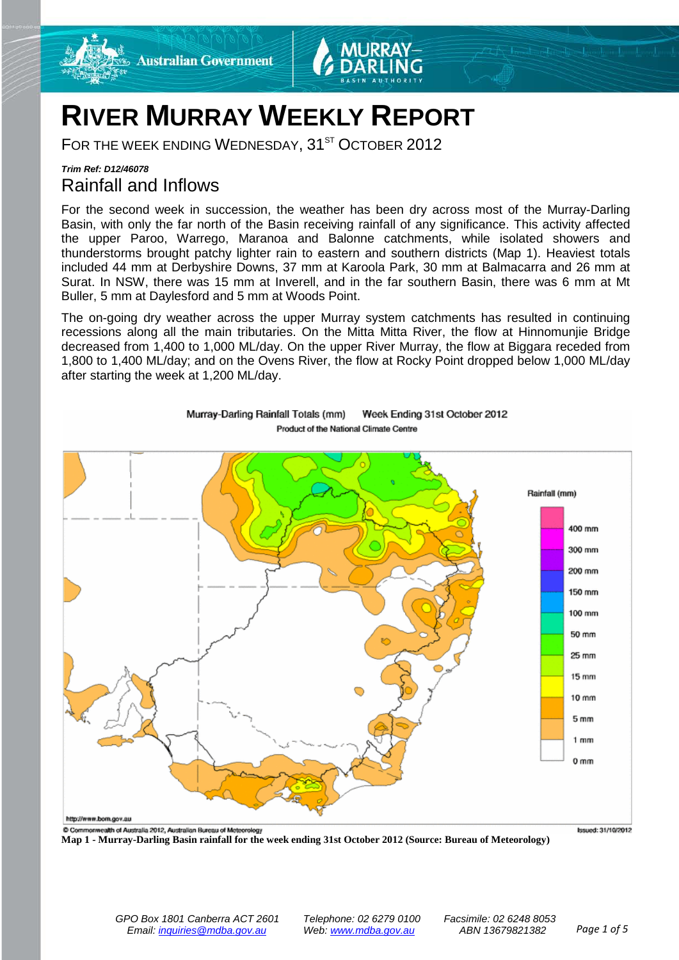



## **RIVER MURRAY WEEKLY REPORT**

FOR THE WEEK ENDING WEDNESDAY, 31<sup>ST</sup> OCTOBER 2012

## *Trim Ref: D12/46078* Rainfall and Inflows

For the second week in succession, the weather has been dry across most of the Murray-Darling Basin, with only the far north of the Basin receiving rainfall of any significance. This activity affected the upper Paroo, Warrego, Maranoa and Balonne catchments, while isolated showers and thunderstorms brought patchy lighter rain to eastern and southern districts (Map 1). Heaviest totals included 44 mm at Derbyshire Downs, 37 mm at Karoola Park, 30 mm at Balmacarra and 26 mm at Surat. In NSW, there was 15 mm at Inverell, and in the far southern Basin, there was 6 mm at Mt Buller, 5 mm at Daylesford and 5 mm at Woods Point.

The on-going dry weather across the upper Murray system catchments has resulted in continuing recessions along all the main tributaries. On the Mitta Mitta River, the flow at Hinnomunjie Bridge decreased from 1,400 to 1,000 ML/day. On the upper River Murray, the flow at Biggara receded from 1,800 to 1,400 ML/day; and on the Ovens River, the flow at Rocky Point dropped below 1,000 ML/day after starting the week at 1,200 ML/day.



Week Ending 31st October 2012 Murray-Darling Rainfall Totals (mm) Product of the National Climate Centre

**Map 1 - Murray-Darling Basin rainfall for the week ending 31st October 2012 (Source: Bureau of Meteorology)**

Issued: 31/10/2012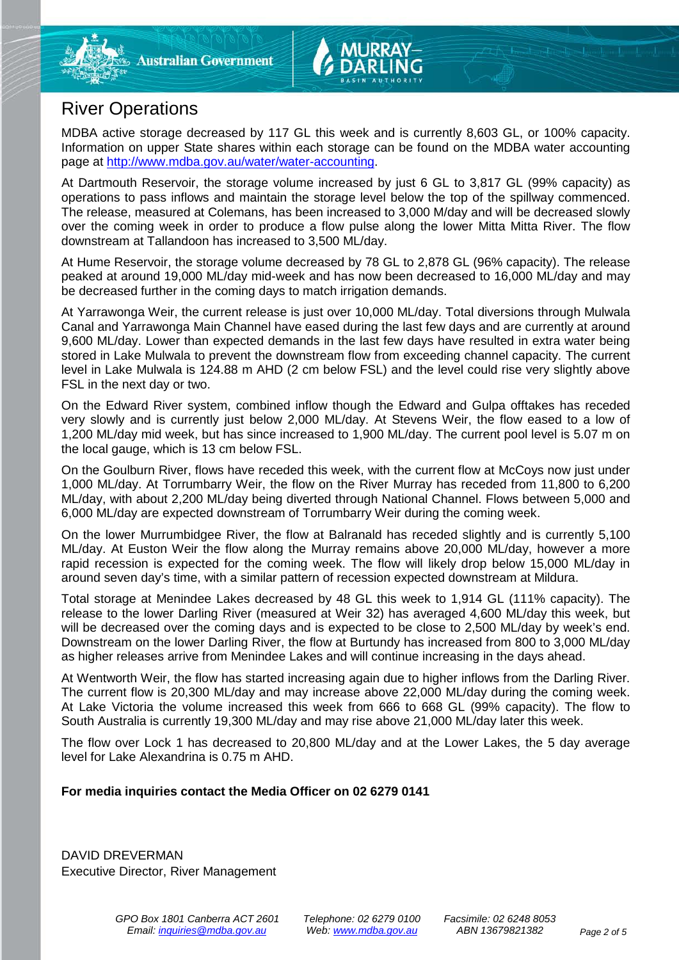

## River Operations

MDBA active storage decreased by 117 GL this week and is currently 8,603 GL, or 100% capacity. Information on upper State shares within each storage can be found on the MDBA water accounting page at [http://www.mdba.gov.au/water/water-accounting.](http://www.mdba.gov.au/water/water-accounting)

At Dartmouth Reservoir, the storage volume increased by just 6 GL to 3,817 GL (99% capacity) as operations to pass inflows and maintain the storage level below the top of the spillway commenced. The release, measured at Colemans, has been increased to 3,000 M/day and will be decreased slowly over the coming week in order to produce a flow pulse along the lower Mitta Mitta River. The flow downstream at Tallandoon has increased to 3,500 ML/day.

At Hume Reservoir, the storage volume decreased by 78 GL to 2,878 GL (96% capacity). The release peaked at around 19,000 ML/day mid-week and has now been decreased to 16,000 ML/day and may be decreased further in the coming days to match irrigation demands.

At Yarrawonga Weir, the current release is just over 10,000 ML/day. Total diversions through Mulwala Canal and Yarrawonga Main Channel have eased during the last few days and are currently at around 9,600 ML/day. Lower than expected demands in the last few days have resulted in extra water being stored in Lake Mulwala to prevent the downstream flow from exceeding channel capacity. The current level in Lake Mulwala is 124.88 m AHD (2 cm below FSL) and the level could rise very slightly above FSL in the next day or two.

On the Edward River system, combined inflow though the Edward and Gulpa offtakes has receded very slowly and is currently just below 2,000 ML/day. At Stevens Weir, the flow eased to a low of 1,200 ML/day mid week, but has since increased to 1,900 ML/day. The current pool level is 5.07 m on the local gauge, which is 13 cm below FSL.

On the Goulburn River, flows have receded this week, with the current flow at McCoys now just under 1,000 ML/day. At Torrumbarry Weir, the flow on the River Murray has receded from 11,800 to 6,200 ML/day, with about 2,200 ML/day being diverted through National Channel. Flows between 5,000 and 6,000 ML/day are expected downstream of Torrumbarry Weir during the coming week.

On the lower Murrumbidgee River, the flow at Balranald has receded slightly and is currently 5,100 ML/day. At Euston Weir the flow along the Murray remains above 20,000 ML/day, however a more rapid recession is expected for the coming week. The flow will likely drop below 15,000 ML/day in around seven day's time, with a similar pattern of recession expected downstream at Mildura.

Total storage at Menindee Lakes decreased by 48 GL this week to 1,914 GL (111% capacity). The release to the lower Darling River (measured at Weir 32) has averaged 4,600 ML/day this week, but will be decreased over the coming days and is expected to be close to 2,500 ML/day by week's end. Downstream on the lower Darling River, the flow at Burtundy has increased from 800 to 3,000 ML/day as higher releases arrive from Menindee Lakes and will continue increasing in the days ahead.

At Wentworth Weir, the flow has started increasing again due to higher inflows from the Darling River. The current flow is 20,300 ML/day and may increase above 22,000 ML/day during the coming week. At Lake Victoria the volume increased this week from 666 to 668 GL (99% capacity). The flow to South Australia is currently 19,300 ML/day and may rise above 21,000 ML/day later this week.

The flow over Lock 1 has decreased to 20,800 ML/day and at the Lower Lakes, the 5 day average level for Lake Alexandrina is 0.75 m AHD.

### **For media inquiries contact the Media Officer on 02 6279 0141**

DAVID DREVERMAN Executive Director, River Management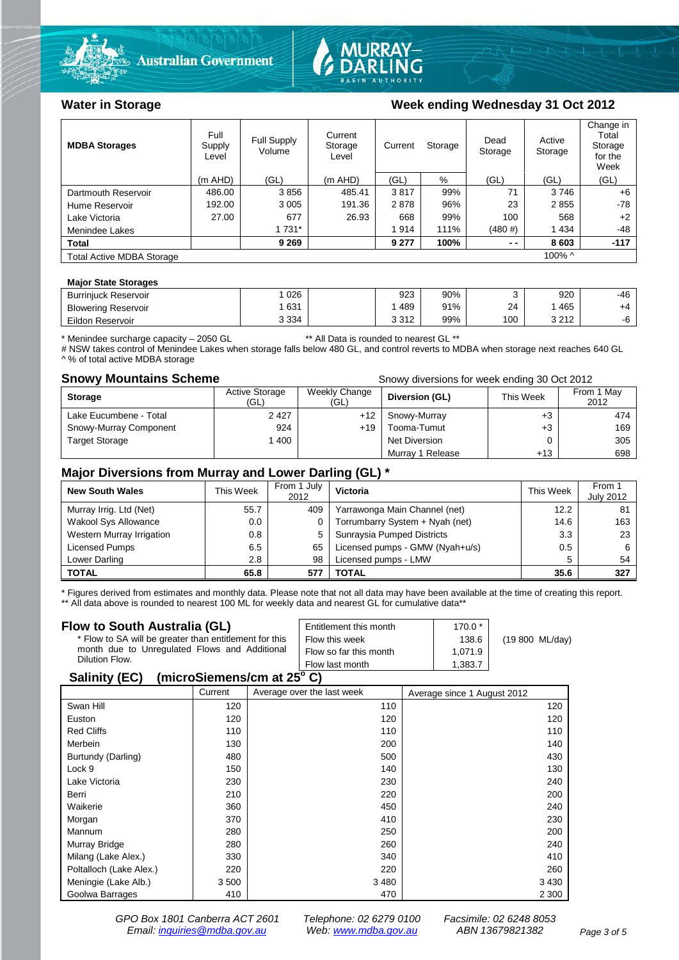



### Water in Storage Week ending Week and Week ending Wednesday 31 Oct 2012

| <b>MDBA Storages</b>             | Full<br>Supply<br>Level | Full Supply<br>Volume | Current<br>Storage<br>Level | Current | Storage | Dead<br>Storage | Active<br>Storage | Change in<br>Total<br>Storage<br>for the<br>Week |
|----------------------------------|-------------------------|-----------------------|-----------------------------|---------|---------|-----------------|-------------------|--------------------------------------------------|
|                                  | $(m$ AHD)               | (GL)                  | $(m$ AHD)                   | (GL)    | %       | (GL)            | (GL)              | (GL)                                             |
| Dartmouth Reservoir              | 486.00                  | 3856                  | 485.41                      | 3817    | 99%     | 71              | 3746              | $+6$                                             |
| Hume Reservoir                   | 192.00                  | 3 0 0 5               | 191.36                      | 2878    | 96%     | 23              | 2855              | -78                                              |
| Lake Victoria                    | 27.00                   | 677                   | 26.93                       | 668     | 99%     | 100             | 568               | $+2$                                             |
| Menindee Lakes                   |                         | 1 7 3 1 *             |                             | 1914    | 111%    | (480#)          | 1434              | -48                                              |
| <b>Total</b>                     |                         | 9 2 6 9               |                             | 9 277   | 100%    | $ -$            | 8603              | $-117$                                           |
| <b>Total Active MDBA Storage</b> |                         |                       |                             |         |         |                 | 100% ^            |                                                  |

#### **Major State Storages**

| <b>Burrinjuck Reservoir</b> | 026     | 923                    | 90% |     | 920                 | -46 |
|-----------------------------|---------|------------------------|-----|-----|---------------------|-----|
| <b>Blowering Reservoir</b>  | 631     | 489                    | 91% | 24  | 465                 | +4  |
| Eildon Reservoir            | 3 3 3 4 | <b>0 אפי</b><br>∠ اد د | 99% | 100 | 2.212<br><u>_ 1</u> | -7  |

\* Menindee surcharge capacity – 2050 GL \*\* All Data is rounded to nearest GL \*\*

# NSW takes control of Menindee Lakes when storage falls below 480 GL, and control reverts to MDBA when storage next reaches 640 GL A % of total active MDBA storage

**Snowy Mountains Scheme Snow** allow Snowy diversions for week ending 30 Oct 2012

| <b>Storage</b>         | Active Storage<br>(GL) | Weekly Change<br>(GL) | Diversion (GL)       | This Week | From 1 May<br>2012 |
|------------------------|------------------------|-----------------------|----------------------|-----------|--------------------|
| Lake Eucumbene - Total | 2 4 2 7                | $+12$                 | Snowy-Murray         | +3        | 474                |
| Snowy-Murray Component | 924                    | $+19$                 | Tooma-Tumut          | $+3$      | 169                |
| <b>Target Storage</b>  | 1400                   |                       | <b>Net Diversion</b> |           | 305                |
|                        |                        |                       | Murray 1 Release     | $+13$     | 698                |

#### **Major Diversions from Murray and Lower Darling (GL) \***

| <b>New South Wales</b>    | This Week | From 1 July<br>2012 | Victoria                        | This Week | From 1<br><b>July 2012</b> |
|---------------------------|-----------|---------------------|---------------------------------|-----------|----------------------------|
| Murray Irrig. Ltd (Net)   | 55.7      | 409                 | Yarrawonga Main Channel (net)   | 12.2      | 81                         |
| Wakool Sys Allowance      | 0.0       |                     | Torrumbarry System + Nyah (net) | 14.6      | 163                        |
| Western Murray Irrigation | 0.8       | 5                   | Sunraysia Pumped Districts      | 3.3       | 23                         |
| Licensed Pumps            | 6.5       | 65                  | Licensed pumps - GMW (Nyah+u/s) | 0.5       | 6                          |
| Lower Darling             | 2.8       | 98                  | Licensed pumps - LMW            | 5         | 54                         |
| <b>TOTAL</b>              | 65.8      | 577                 | TOTAL                           | 35.6      | 327                        |

\* Figures derived from estimates and monthly data. Please note that not all data may have been available at the time of creating this report.

\*\* All data above is rounded to nearest 100 ML for weekly data and nearest GL for cumulative data\*\*

#### **Flow to South Australia (GL)** \* Flow to SA will be greater than entitlement for this month due to Unregulated Flows and Additional Dilution Flow. Entitlement this month 170.0 \* Flow this week 138.6 (19 800 ML/day) Flow so far this month 1,071.9 Flow last month 1,383.7

#### **Salinity (EC) (microSiemens/cm at 25o C)**

|                         | Current | Average over the last week | Average since 1 August 2012 |
|-------------------------|---------|----------------------------|-----------------------------|
|                         |         |                            |                             |
| Swan Hill               | 120     | 110                        | 120                         |
| Euston                  | 120     | 120                        | 120                         |
| <b>Red Cliffs</b>       | 110     | 110                        | 110                         |
| Merbein                 | 130     | 200                        | 140                         |
| Burtundy (Darling)      | 480     | 500                        | 430                         |
| Lock 9                  | 150     | 140                        | 130                         |
| Lake Victoria           | 230     | 230                        | 240                         |
| Berri                   | 210     | 220                        | 200                         |
| Waikerie                | 360     | 450                        | 240                         |
| Morgan                  | 370     | 410                        | 230                         |
| Mannum                  | 280     | 250                        | 200                         |
| Murray Bridge           | 280     | 260                        | 240                         |
| Milang (Lake Alex.)     | 330     | 340                        | 410                         |
| Poltalloch (Lake Alex.) | 220     | 220                        | 260                         |
| Meningie (Lake Alb.)    | 3500    | 3 4 8 0                    | 3 4 3 0                     |
| Goolwa Barrages         | 410     | 470                        | 2 3 0 0                     |
|                         |         |                            |                             |

*GPO Box 1801 Canberra ACT 2601 Telephone: 02 6279 0100 Facsimile: 02 6248 8053 Email: [inquiries@mdba.gov.au](mailto:inquiries@mdba.gov.au) Web: [www.mdba.gov.au](http://www.mdba.gov.au/) ABN 13679821382 Page 3 of 5*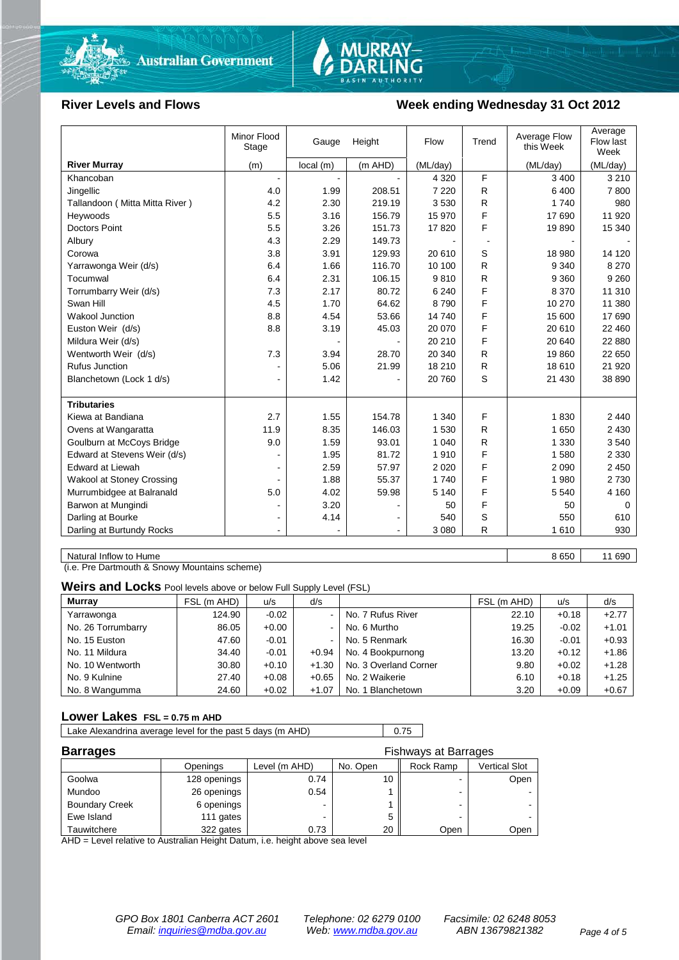

# MURRAY-<br>DARLING

#### River Levels and Flows **Week ending Wednesday 31 Oct 2012**

|                                  | Minor Flood<br>Stage | Gauge     | Height    | Flow     | Trend | Average Flow<br>this Week | Average<br>Flow last<br>Week |
|----------------------------------|----------------------|-----------|-----------|----------|-------|---------------------------|------------------------------|
| <b>River Murray</b>              | (m)                  | local (m) | $(m$ AHD) | (ML/day) |       | (ML/day)                  | (ML/day)                     |
| Khancoban                        |                      |           |           | 4 3 2 0  | F     | 3 400                     | 3 2 1 0                      |
| Jingellic                        | 4.0                  | 1.99      | 208.51    | 7 2 2 0  | R     | 6 400                     | 7800                         |
| Tallandoon (Mitta Mitta River)   | 4.2                  | 2.30      | 219.19    | 3530     | R.    | 1740                      | 980                          |
| Heywoods                         | 5.5                  | 3.16      | 156.79    | 15 970   | F     | 17 690                    | 11 920                       |
| <b>Doctors Point</b>             | 5.5                  | 3.26      | 151.73    | 17820    | F     | 19890                     | 15 340                       |
| Albury                           | 4.3                  | 2.29      | 149.73    |          |       |                           |                              |
| Corowa                           | 3.8                  | 3.91      | 129.93    | 20 610   | S     | 18 980                    | 14 120                       |
| Yarrawonga Weir (d/s)            | 6.4                  | 1.66      | 116.70    | 10 100   | R     | 9 3 4 0                   | 8 2 7 0                      |
| Tocumwal                         | 6.4                  | 2.31      | 106.15    | 9810     | R     | 9 3 6 0                   | 9 2 6 0                      |
| Torrumbarry Weir (d/s)           | 7.3                  | 2.17      | 80.72     | 6 2 4 0  | F     | 8 3 7 0                   | 11 310                       |
| Swan Hill                        | 4.5                  | 1.70      | 64.62     | 8790     | F     | 10 270                    | 11 380                       |
| <b>Wakool Junction</b>           | 8.8                  | 4.54      | 53.66     | 14740    | F     | 15 600                    | 17 690                       |
| Euston Weir (d/s)                | 8.8                  | 3.19      | 45.03     | 20 070   | F     | 20 610                    | 22 460                       |
| Mildura Weir (d/s)               |                      |           |           | 20 210   | F     | 20 640                    | 22 880                       |
| Wentworth Weir (d/s)             | 7.3                  | 3.94      | 28.70     | 20 340   | R     | 19860                     | 22 650                       |
| Rufus Junction                   |                      | 5.06      | 21.99     | 18 210   | R     | 18 610                    | 21 9 20                      |
| Blanchetown (Lock 1 d/s)         | $\blacksquare$       | 1.42      |           | 20 760   | S     | 21 430                    | 38 890                       |
|                                  |                      |           |           |          |       |                           |                              |
| <b>Tributaries</b>               |                      |           |           |          |       |                           |                              |
| Kiewa at Bandiana                | 2.7                  | 1.55      | 154.78    | 1 340    | F     | 1830                      | 2 4 4 0                      |
| Ovens at Wangaratta              | 11.9                 | 8.35      | 146.03    | 1530     | R     | 1650                      | 2 4 3 0                      |
| Goulburn at McCoys Bridge        | 9.0                  | 1.59      | 93.01     | 1 0 4 0  | R     | 1 3 3 0                   | 3540                         |
| Edward at Stevens Weir (d/s)     |                      | 1.95      | 81.72     | 1910     | F     | 1580                      | 2 3 3 0                      |
| Edward at Liewah                 |                      | 2.59      | 57.97     | 2 0 2 0  | F     | 2 0 9 0                   | 2 4 5 0                      |
| <b>Wakool at Stoney Crossing</b> | $\blacksquare$       | 1.88      | 55.37     | 1740     | F     | 1 980                     | 2 7 3 0                      |
| Murrumbidgee at Balranald        | 5.0                  | 4.02      | 59.98     | 5 1 4 0  | F     | 5 5 4 0                   | 4 1 6 0                      |
| Barwon at Mungindi               | $\blacksquare$       | 3.20      |           | 50       | F     | 50                        | 0                            |
| Darling at Bourke                | $\blacksquare$       | 4.14      |           | 540      | S     | 550                       | 610                          |
| Darling at Burtundy Rocks        | $\blacksquare$       |           |           | 3 0 8 0  | R     | 1610                      | 930                          |

Natural Inflow to Hume 8 650 11 690

(i.e. Pre Dartmouth & Snowy Mountains scheme)

**Weirs and Locks** Pool levels above or below Full Supply Level (FSL)

| <b>Murray</b>      | FSL (m AHD) | u/s     | d/s            |                       | FSL (m AHD) | u/s     | d/s     |
|--------------------|-------------|---------|----------------|-----------------------|-------------|---------|---------|
| Yarrawonga         | 124.90      | $-0.02$ | $\sim$         | No. 7 Rufus River     | 22.10       | $+0.18$ | $+2.77$ |
| No. 26 Torrumbarry | 86.05       | $+0.00$ | $\sim$         | No. 6 Murtho          | 19.25       | $-0.02$ | $+1.01$ |
| No. 15 Euston      | 47.60       | $-0.01$ | $\blacksquare$ | No. 5 Renmark         | 16.30       | $-0.01$ | $+0.93$ |
| No. 11 Mildura     | 34.40       | $-0.01$ | $+0.94$        | No. 4 Bookpurnong     | 13.20       | $+0.12$ | $+1.86$ |
| No. 10 Wentworth   | 30.80       | $+0.10$ | $+1.30$        | No. 3 Overland Corner | 9.80        | $+0.02$ | $+1.28$ |
| No. 9 Kulnine      | 27.40       | $+0.08$ | $+0.65$        | No. 2 Waikerie        | 6.10        | $+0.18$ | $+1.25$ |
| No. 8 Wangumma     | 24.60       | $+0.02$ | $+1.07$        | No. 1 Blanchetown     | 3.20        | $+0.09$ | $+0.67$ |

#### **Lower Lakes FSL = 0.75 m AHD**

Lake Alexandrina average level for the past 5 days (m AHD) 0.75

| <b>Barrages</b>       |              | <b>Fishways at Barrages</b> |          |                          |                      |  |  |
|-----------------------|--------------|-----------------------------|----------|--------------------------|----------------------|--|--|
|                       | Openings     | Level (m AHD)               | No. Open | Rock Ramp                | <b>Vertical Slot</b> |  |  |
| Goolwa                | 128 openings | 0.74                        |          | $\overline{\phantom{0}}$ | Open                 |  |  |
| Mundoo                | 26 openings  | 0.54                        |          | -                        |                      |  |  |
| <b>Boundary Creek</b> | 6 openings   | $\overline{\phantom{0}}$    |          | -                        |                      |  |  |
| Ewe Island            | 111 gates    |                             |          |                          |                      |  |  |
| Tauwitchere           | 322 gates    | 0.73                        | 20       | Open                     | Open                 |  |  |

AHD = Level relative to Australian Height Datum, i.e. height above sea level